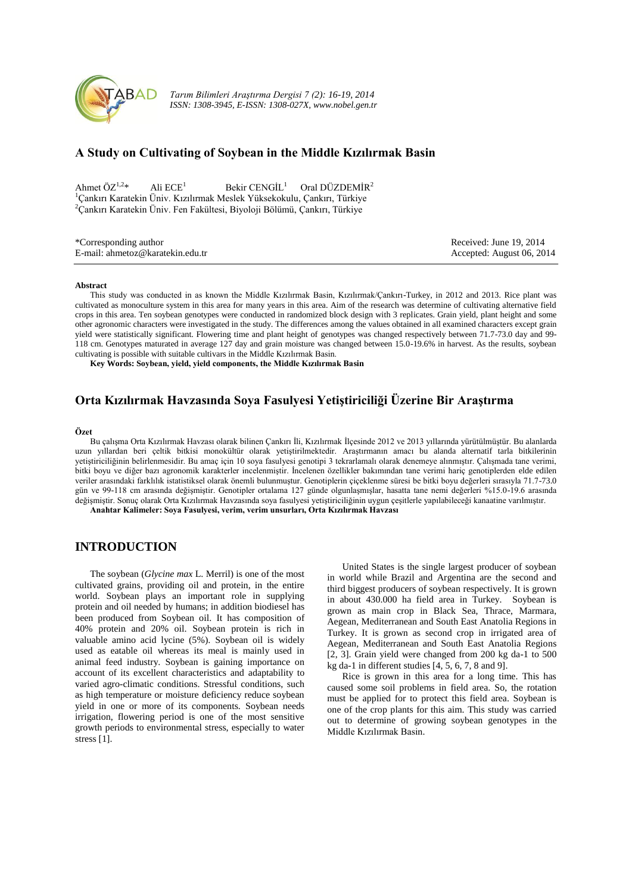

*Tarım Bilimleri Araştırma Dergisi 7 (2): 16-19, 2014 ISSN: 1308-3945, E-ISSN: 1308-027X, www.nobel.gen.tr*

# **A Study on Cultivating of Soybean in the Middle Kızılırmak Basin**

Ahmet ÖZ<sup>1,2\*</sup> Ali ECE<sup>1</sup> Bekir CENGİL<sup>1</sup> Oral DÜZDEMİR<sup>2</sup> <sup>1</sup>Çankırı Karatekin Üniv. Kızılırmak Meslek Yüksekokulu, Çankırı, Türkiye <sup>2</sup>Çankırı Karatekin Üniv. Fen Fakültesi, Biyoloji Bölümü, Çankırı, Türkiye

| *Corresponding author            | Received: June 19, 2014   |
|----------------------------------|---------------------------|
| E-mail: ahmetoz@karatekin.edu.tr | Accepted: August 06, 2014 |

#### **Abstract**

This study was conducted in as known the Middle Kızılırmak Basin, Kızılırmak/Çankırı-Turkey, in 2012 and 2013. Rice plant was cultivated as monoculture system in this area for many years in this area. Aim of the research was determine of cultivating alternative field crops in this area. Ten soybean genotypes were conducted in randomized block design with 3 replicates. Grain yield, plant height and some other agronomic characters were investigated in the study. The differences among the values obtained in all examined characters except grain yield were statistically significant. Flowering time and plant height of genotypes was changed respectively between 71.7-73.0 day and 99- 118 cm. Genotypes maturated in average 127 day and grain moisture was changed between 15.0-19.6% in harvest. As the results, soybean cultivating is possible with suitable cultivars in the Middle Kızılırmak Basin.

**Key Words: Soybean, yield, yield components, the Middle Kızılırmak Basin**

# **Orta Kızılırmak Havzasında Soya Fasulyesi Yetiştiriciliği Üzerine Bir Araştırma**

#### **Özet**

Bu çalışma Orta Kızılırmak Havzası olarak bilinen Çankırı İli, Kızılırmak İlçesinde 2012 ve 2013 yıllarında yürütülmüştür. Bu alanlarda uzun yıllardan beri çeltik bitkisi monokültür olarak yetiştirilmektedir. Araştırmanın amacı bu alanda alternatif tarla bitkilerinin yetiştiriciliğinin belirlenmesidir. Bu amaç için 10 soya fasulyesi genotipi 3 tekrarlamalı olarak denemeye alınmıştır. Çalışmada tane verimi, bitki boyu ve diğer bazı agronomik karakterler incelenmiştir. İncelenen özellikler bakımından tane verimi hariç genotiplerden elde edilen veriler arasındaki farklılık istatistiksel olarak önemli bulunmuştur. Genotiplerin çiçeklenme süresi be bitki boyu değerleri sırasıyla 71.7-73.0 gün ve 99-118 cm arasında değişmiştir. Genotipler ortalama 127 günde olgunlaşmışlar, hasatta tane nemi değerleri %15.0-19.6 arasında değişmiştir. Sonuç olarak Orta Kızılırmak Havzasında soya fasulyesi yetiştiriciliğinin uygun çeşitlerle yapılabileceği kanaatine varılmıştır.

**Anahtar Kalimeler: Soya Fasulyesi, verim, verim unsurları, Orta Kızılırmak Havzası**

## **INTRODUCTION**

The soybean (*Glycine max* L. Merril) is one of the most cultivated grains, providing oil and protein, in the entire world. Soybean plays an important role in supplying protein and oil needed by humans; in addition biodiesel has been produced from Soybean oil. It has composition of 40% protein and 20% oil. Soybean protein is rich in valuable amino acid lycine (5%). Soybean oil is widely used as eatable oil whereas its meal is mainly used in animal feed industry. Soybean is gaining importance on account of its excellent characteristics and adaptability to varied agro-climatic conditions. Stressful conditions, such as high temperature or moisture deficiency reduce soybean yield in one or more of its components. Soybean needs irrigation, flowering period is one of the most sensitive growth periods to environmental stress, especially to water stress [1].

United States is the single largest producer of soybean in world while Brazil and Argentina are the second and third biggest producers of soybean respectively. It is grown in about 430.000 ha field area in Turkey. Soybean is grown as main crop in Black Sea, Thrace, Marmara, Aegean, Mediterranean and South East Anatolia Regions in Turkey. It is grown as second crop in irrigated area of Aegean, Mediterranean and South East Anatolia Regions [2, 3]. Grain yield were changed from 200 kg da-1 to 500 kg da-1 in different studies [4, 5, 6, 7, 8 and 9].

Rice is grown in this area for a long time. This has caused some soil problems in field area. So, the rotation must be applied for to protect this field area. Soybean is one of the crop plants for this aim. This study was carried out to determine of growing soybean genotypes in the Middle Kızılırmak Basin.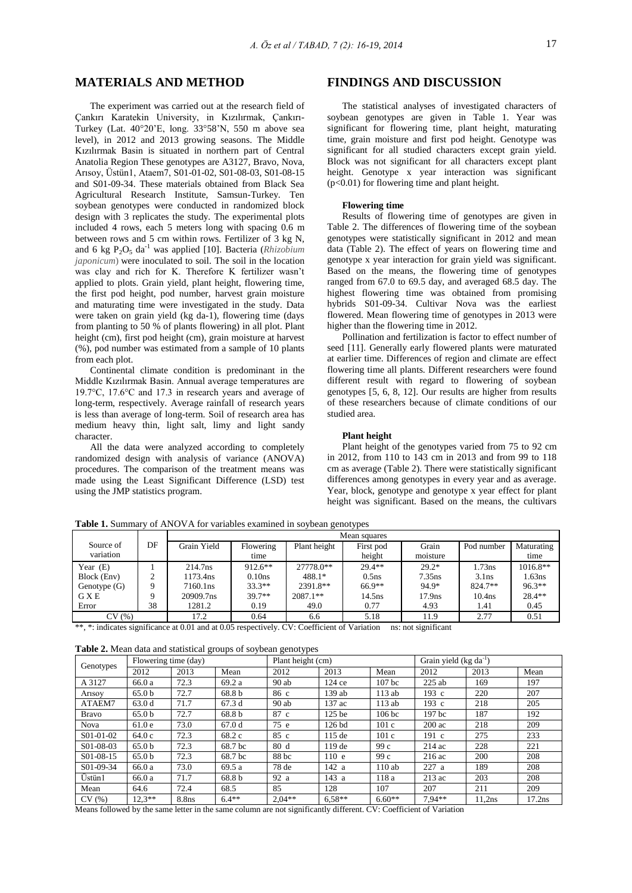## **MATERIALS AND METHOD**

The experiment was carried out at the research field of Çankırı Karatekin University, in Kızılırmak, Çankırı-Turkey (Lat.  $40^{\circ}20'E$ , long.  $33^{\circ}58'N$ , 550 m above sea level), in 2012 and 2013 growing seasons. The Middle Kızılırmak Basin is situated in northern part of Central Anatolia Region These genotypes are A3127, Bravo, Nova, Arısoy, Üstün1, Ataem7, S01-01-02, S01-08-03, S01-08-15 and S01-09-34. These materials obtained from Black Sea Agricultural Research Institute, Samsun-Turkey. Ten soybean genotypes were conducted in randomized block design with 3 replicates the study. The experimental plots included 4 rows, each 5 meters long with spacing 0.6 m between rows and 5 cm within rows. Fertilizer of 3 kg N, and 6 kg P<sub>2</sub>O<sub>5</sub> da<sup>-1</sup> was applied [10]. Bacteria (*Rhizobium*) *japonicum*) were inoculated to soil. The soil in the location was clay and rich for K. Therefore K fertilizer wasn't applied to plots. Grain yield, plant height, flowering time, the first pod height, pod number, harvest grain moisture and maturating time were investigated in the study. Data were taken on grain yield (kg da-1), flowering time (days from planting to 50 % of plants flowering) in all plot. Plant height (cm), first pod height (cm), grain moisture at harvest (%), pod number was estimated from a sample of 10 plants from each plot.

Continental climate condition is predominant in the Middle Kızılırmak Basin. Annual average temperatures are 19.7°C, 17.6°C and 17.3 in research years and average of long-term, respectively. Average rainfall of research years is less than average of long-term. Soil of research area has medium heavy thin, light salt, limy and light sandy character.

All the data were analyzed according to completely randomized design with analysis of variance (ANOVA) procedures. The comparison of the treatment means was made using the Least Significant Difference (LSD) test using the JMP statistics program.

## **FINDINGS AND DISCUSSION**

The statistical analyses of investigated characters of soybean genotypes are given in Table 1. Year was significant for flowering time, plant height, maturating time, grain moisture and first pod height. Genotype was significant for all studied characters except grain yield. Block was not significant for all characters except plant height. Genotype x year interaction was significant (p<0.01) for flowering time and plant height.

### **Flowering time**

Results of flowering time of genotypes are given in Table 2. The differences of flowering time of the soybean genotypes were statistically significant in 2012 and mean data (Table 2). The effect of years on flowering time and genotype x year interaction for grain yield was significant. Based on the means, the flowering time of genotypes ranged from 67.0 to 69.5 day, and averaged 68.5 day. The highest flowering time was obtained from promising hybrids S01-09-34. Cultivar Nova was the earliest flowered. Mean flowering time of genotypes in 2013 were higher than the flowering time in 2012.

Pollination and fertilization is factor to effect number of seed [11]. Generally early flowered plants were maturated at earlier time. Differences of region and climate are effect flowering time all plants. Different researchers were found different result with regard to flowering of soybean genotypes [5, 6, 8, 12]. Our results are higher from results of these researchers because of climate conditions of our studied area.

### **Plant height**

Plant height of the genotypes varied from 75 to 92 cm in 2012, from 110 to 143 cm in 2013 and from 99 to 118 cm as average (Table 2). There were statistically significant differences among genotypes in every year and as average. Year, block, genotype and genotype x year effect for plant height was significant. Based on the means, the cultivars

**Table 1.** Summary of ANOVA for variables examined in soybean genotypes

|                |        | Mean squares |            |              |                   |                    |                    |            |
|----------------|--------|--------------|------------|--------------|-------------------|--------------------|--------------------|------------|
| Source of      | DF     | Grain Yield  | Flowering  | Plant height | First pod         | Grain              | Pod number         | Maturating |
| variation      |        |              | time       |              | height            | moisture           |                    | time       |
| Year $(E)$     |        | 214.7ns      | $912.6***$ | 27778.0**    | $29.4***$         | $29.2*$            | $1.73$ ns          | $1016.8**$ |
| Block (Env)    | ◠<br>∠ | 1173.4ns     | 0.10ns     | 488.1*       | 0.5 <sub>ns</sub> | $7.35$ ns          | $3.1$ ns           | 1.63ns     |
| Genotype $(G)$ | Q      | 7160.1ns     | $33.3**$   | 2391.8**     | 66.9**            | 94.9*              | 824.7**            | $96.3**$   |
| <b>GXE</b>     |        | 20909.7ns    | $39.7**$   | 2087.1**     | 14.5ns            | 17.9 <sub>ns</sub> | 10.4 <sub>ns</sub> | $28.4**$   |
| Error          | 38     | 1281.2       | 0.19       | 49.0         | 0.77              | 4.93               | 1.41               | 0.45       |
| CV(%)          |        | 17.2         | 0.64       | 6.6          | 5.18              | 11.9               | 2.77               | 0.51       |

\*\*, \*: indicates significance at 0.01 and at 0.05 respectively. CV: Coefficient of Variation ns: not significant

**Table 2.** Mean data and statistical groups of soybean genotypes

| Genotypes    |                   | Flowering time (day) |         |          | . .<br>Plant height (cm) |                   |                  | Grain yield $(kg da^{-1})$ |        |  |
|--------------|-------------------|----------------------|---------|----------|--------------------------|-------------------|------------------|----------------------------|--------|--|
|              | 2012              | 2013                 | Mean    | 2012     | 2013                     | Mean              | 2012             | 2013                       | Mean   |  |
| A 3127       | 66.0 a            | 72.3                 | 69.2 a  | $90$ ab  | 124 ce                   | 107 <sub>bc</sub> | $225$ ab         | 169                        | 197    |  |
| Arisov       | 65.0 <sub>b</sub> | 72.7                 | 68.8 b  | 86 с     | 139 ab                   | 113 ab            | 193c             | 220                        | 207    |  |
| ATAEM7       | 63.0d             | 71.7                 | 67.3 d  | $90$ ab  | 137 ac                   | $113$ ab          | 193 c            | 218                        | 205    |  |
| <b>Bravo</b> | 65.0 <sub>b</sub> | 72.7                 | 68.8 h  | 87 c     | 125 <sub>be</sub>        | 106 <sub>bc</sub> | 197 hc           | 187                        | 192    |  |
| <b>Nova</b>  | 61.0e             | 73.0                 | 67.0d   | 75 e     | 126bd                    | 101c              | $200 \text{ ac}$ | 218                        | 209    |  |
| S01-01-02    | 64.0 c            | 72.3                 | 68.2 c  | 85 c     | 115 de                   | 101c              | $191\,c$         | 275                        | 233    |  |
| S01-08-03    | 65.0 <sub>b</sub> | 72.3                 | 68.7 bc | 80d      | $119$ de                 | 99c               | $214$ ac         | 228                        | 221    |  |
| S01-08-15    | 65.0 <sub>b</sub> | 72.3                 | 68.7 bc | 88 bc    | 110 e                    | 99c               | $216$ ac         | 200                        | 208    |  |
| S01-09-34    | 66.0 a            | 73.0                 | 69.5a   | 78 de    | 142 a                    | 110ab             | 227a             | 189                        | 208    |  |
| Üstün1       | 66.0 a            | 71.7                 | 68.8 b  | 92 a     | 143 a                    | 118 a             | 213ac            | 203                        | 208    |  |
| Mean         | 64.6              | 72.4                 | 68.5    | 85       | 128                      | 107               | 207              | 211                        | 209    |  |
| CV(%)        | $12.3**$          | 8.8 <sub>ns</sub>    | $6.4**$ | $2.04**$ | $6.58**$                 | $6.60**$          | $7.94**$         | 11,2ns                     | 17.2ns |  |

Means followed by the same letter in the same column are not significantly different. CV: Coefficient of Variation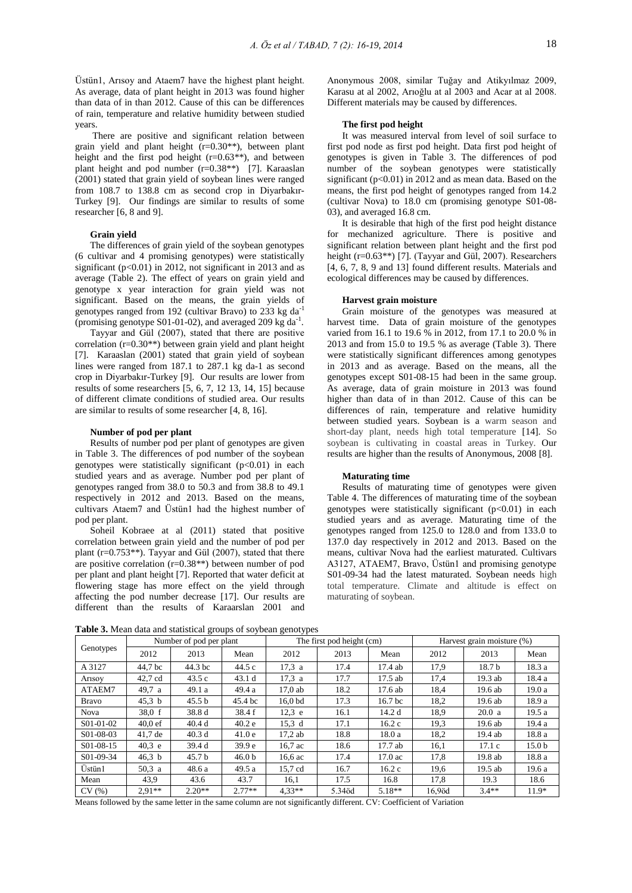Üstün1, Arısoy and Ataem7 have the highest plant height. As average, data of plant height in 2013 was found higher than data of in than 2012. Cause of this can be differences of rain, temperature and relative humidity between studied years.

There are positive and significant relation between grain yield and plant height  $(r=0.30**)$ , between plant height and the first pod height  $(r=0.63**)$ , and between plant height and pod number (r=0.38\*\*) [7]. Karaaslan (2001) stated that grain yield of soybean lines were ranged from 108.7 to 138.8 cm as second crop in Diyarbakır-Turkey [9]. Our findings are similar to results of some researcher [6, 8 and 9].

#### **Grain yield**

The differences of grain yield of the soybean genotypes (6 cultivar and 4 promising genotypes) were statistically significant (p<0.01) in 2012, not significant in 2013 and as average (Table 2). The effect of years on grain yield and genotype x year interaction for grain yield was not significant. Based on the means, the grain yields of genotypes ranged from 192 (cultivar Bravo) to 233 kg da-1 (promising genotype S01-01-02), and averaged 209 kg da-1 .

Tayyar and Gül (2007), stated that there are positive correlation  $(r=0.30**)$  between grain yield and plant height [7]. Karaaslan (2001) stated that grain yield of soybean lines were ranged from 187.1 to 287.1 kg da-1 as second crop in Diyarbakır-Turkey [9]. Our results are lower from results of some researchers [5, 6, 7, 12 13, 14, 15] because of different climate conditions of studied area. Our results are similar to results of some researcher [4, 8, 16].

#### **Number of pod per plant**

Results of number pod per plant of genotypes are given in Table 3. The differences of pod number of the soybean genotypes were statistically significant (p<0.01) in each studied years and as average. Number pod per plant of genotypes ranged from 38.0 to 50.3 and from 38.8 to 49.1 respectively in 2012 and 2013. Based on the means, cultivars Ataem7 and Üstün1 had the highest number of pod per plant.

Soheil Kobraee at al (2011) stated that positive correlation between grain yield and the number of pod per plant ( $r=0.753**$ ). Tayyar and Gül (2007), stated that there are positive correlation  $(r=0.38**)$  between number of pod per plant and plant height [7]. Reported that water deficit at flowering stage has more effect on the yield through affecting the pod number decrease [17]. Our results are different than the results of Karaarslan 2001 and

Anonymous 2008, similar Tuğay and Atikyılmaz 2009, Karasu at al 2002, Arıoğlu at al 2003 and Acar at al 2008. Different materials may be caused by differences.

#### **The first pod height**

It was measured interval from level of soil surface to first pod node as first pod height. Data first pod height of genotypes is given in Table 3. The differences of pod number of the soybean genotypes were statistically significant  $(p<0.01)$  in 2012 and as mean data. Based on the means, the first pod height of genotypes ranged from 14.2 (cultivar Nova) to 18.0 cm (promising genotype S01-08- 03), and averaged 16.8 cm.

It is desirable that high of the first pod height distance for mechanized agriculture. There is positive and significant relation between plant height and the first pod height (r=0.63<sup>\*\*</sup>) [7]. (Tayyar and Gül, 2007). Researchers [4, 6, 7, 8, 9 and 13] found different results. Materials and ecological differences may be caused by differences.

### **Harvest grain moisture**

Grain moisture of the genotypes was measured at harvest time. Data of grain moisture of the genotypes varied from 16.1 to 19.6 % in 2012, from 17.1 to 20.0 % in 2013 and from 15.0 to 19.5 % as average (Table 3). There were statistically significant differences among genotypes in 2013 and as average. Based on the means, all the genotypes except S01-08-15 had been in the same group. As average, data of grain moisture in 2013 was found higher than data of in than 2012. Cause of this can be differences of rain, temperature and relative humidity between studied years. Soybean is a warm season and short-day plant, needs high total temperature [14]. So soybean is cultivating in coastal areas in Turkey. Our results are higher than the results of Anonymous, 2008 [8].

#### **Maturating time**

Results of maturating time of genotypes were given Table 4. The differences of maturating time of the soybean genotypes were statistically significant  $(p<0.01)$  in each studied years and as average. Maturating time of the genotypes ranged from 125.0 to 128.0 and from 133.0 to 137.0 day respectively in 2012 and 2013. Based on the means, cultivar Nova had the earliest maturated. Cultivars A3127, ATAEM7, Bravo, Üstün1 and promising genotype S01-09-34 had the latest maturated. Soybean needs high total temperature. Climate and altitude is effect on maturating of soybean.

**Table 3.** Mean data and statistical groups of soybean genotypes

|              | Number of pod per plant |                   |                   | The first pod height (cm) |        |                   | Harvest grain moisture (%) |                   |                   |
|--------------|-------------------------|-------------------|-------------------|---------------------------|--------|-------------------|----------------------------|-------------------|-------------------|
| Genotypes    | 2012                    | 2013              | Mean              | 2012                      | 2013   | Mean              | 2012                       | 2013              | Mean              |
| A 3127       | 44.7 bc                 | 44.3 bc           | 44.5 c            | 17.3a                     | 17.4   | 17.4 ab           | 17.9                       | 18.7 <sub>b</sub> | 18.3 a            |
| Arisov       | 42.7 cd                 | 43.5c             | 43.1d             | 17.3 a                    | 17.7   | 17.5 ab           | 17,4                       | 19.3 ab           | 18.4 a            |
| ATAEM7       | 49,7 a                  | 49.1a             | 49.4 a            | 17.0ab                    | 18.2   | 17.6 ab           | 18,4                       | 19.6 ab           | 19.0a             |
| <b>Bravo</b> | 45.3 <sub>b</sub>       | 45.5 <sub>b</sub> | 45.4 bc           | 16.0 <sub>bd</sub>        | 17.3   | 16.7 bc           | 18,2                       | 19.6 ab           | 18.9 a            |
| <b>Nova</b>  | 38.0 f                  | 38.8 d            | 38.4f             | $12.3$ e                  | 16.1   | 14.2 d            | 18.9                       | 20.0a             | 19.5a             |
| S01-01-02    | $40.0 \text{ ef}$       | 40.4d             | 40.2 e            | 15.3 d                    | 17.1   | 16.2c             | 19,3                       | 19.6 ab           | 19.4 a            |
| S01-08-03    | $41.7$ de               | 40.3d             | 41.0e             | $17.2$ ab                 | 18.8   | 18.0a             | 18,2                       | 19.4 ab           | 18.8 a            |
| S01-08-15    | 40.3 e                  | 39.4 d            | 39.9 <sub>e</sub> | $16.7$ ac                 | 18.6   | 17.7 ab           | 16,1                       | 17.1c             | 15.0 <sub>b</sub> |
| S01-09-34    | 46.3 <sub>b</sub>       | 45.7 <sub>b</sub> | 46.0 <sub>b</sub> | $16,6$ ac                 | 17.4   | $17.0 \text{ ac}$ | 17,8                       | 19.8 ab           | 18.8 a            |
| Üstün1       | 50.3 a                  | 48.6 a            | 49.5 a            | 15.7 cd                   | 16.7   | 16.2c             | 19.6                       | $19.5$ ab         | 19.6 a            |
| Mean         | 43,9                    | 43.6              | 43.7              | 16,1                      | 17.5   | 16.8              | 17,8                       | 19.3              | 18.6              |
| CV(%)        | $2.91**$                | $2.20**$          | $2.77**$          | $4.33**$                  | 5.34öd | $5.18**$          | $16.9$ öd                  | $3.4**$           | $11.9*$           |

Means followed by the same letter in the same column are not significantly different. CV: Coefficient of Variation